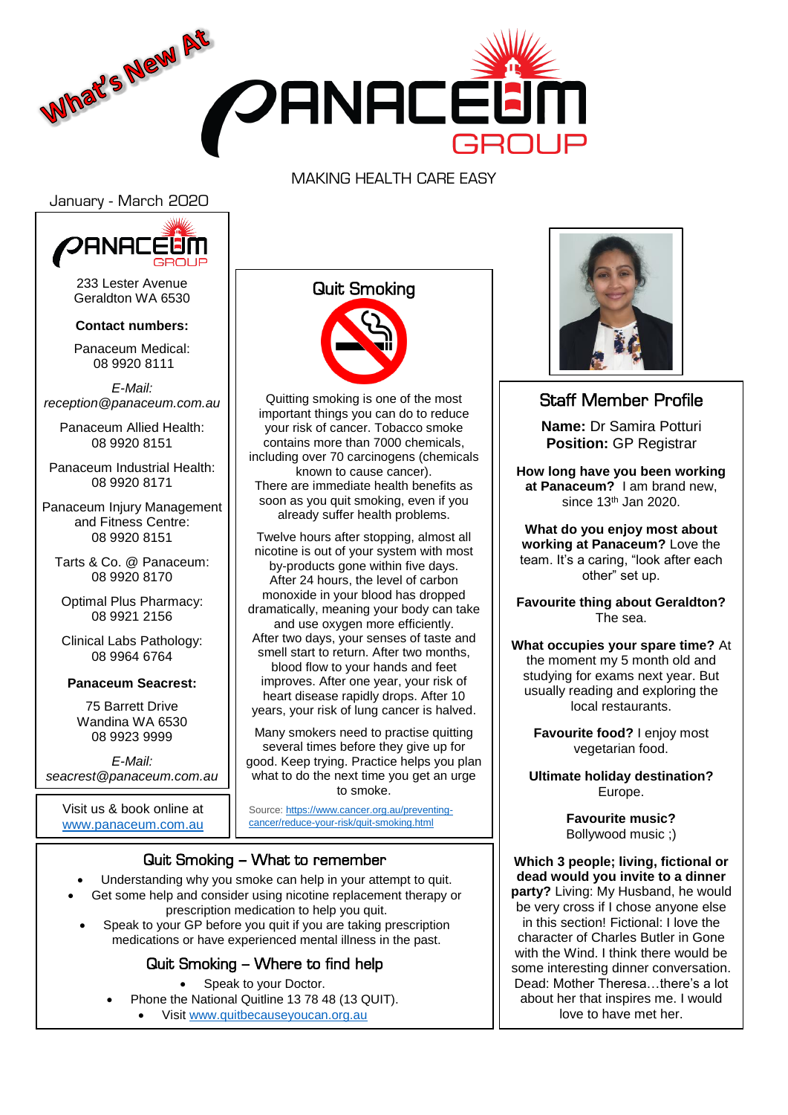

#### MAKING HEALTH CARE EASY

January - March 2020



233 Lester Avenue Geraldton WA 6530

**Contact numbers:**

Panaceum Medical: 08 9920 8111

*E-Mail: reception@panaceum.com.au*

Panaceum Allied Health: 08 9920 8151

Panaceum Industrial Health: 08 9920 8171

Panaceum Injury Management and Fitness Centre: 08 9920 8151

Tarts & Co. @ Panaceum: 08 9920 8170

Optimal Plus Pharmacy: 08 9921 2156

Clinical Labs Pathology: 08 9964 6764

#### **Panaceum Seacrest:**

75 Barrett Drive Wandina WA 6530 08 9923 9999

*E-Mail: seacrest@panaceum.com.au*

Visit us & book online at <www.panaceum.com.au>

### Quit Smoking



Quitting smoking is one of the most important things you can do to reduce your risk of cancer. Tobacco smoke contains more than 7000 chemicals, including over 70 carcinogens (chemicals known to cause cancer). There are immediate health benefits as soon as you quit smoking, even if you already suffer health problems.

Twelve hours after stopping, almost all nicotine is out of your system with most by-products gone within five days. After 24 hours, the level of carbon monoxide in your blood has dropped dramatically, meaning your body can take and use oxygen more efficiently. After two days, your senses of taste and smell start to return. After two months, blood flow to your hands and feet improves. After one year, your risk of heart disease rapidly drops. After 10 years, your risk of lung cancer is halved.

Many smokers need to practise quitting several times before they give up for good. Keep trying. Practice helps you plan what to do the next time you get an urge to smoke.

Source: [https://www.cancer.org.au/preventing](https://www.cancer.org.au/preventing-cancer/reduce-your-risk/quit-smoking.html)[cancer/reduce-your-risk/quit-smoking.html](https://www.cancer.org.au/preventing-cancer/reduce-your-risk/quit-smoking.html)

#### Quit Smoking – What to remember

Understanding why you smoke can help in your attempt to quit.

- Get some help and consider using nicotine replacement therapy or prescription medication to help you quit.
- Speak to your GP before you quit if you are taking prescription medications or have experienced mental illness in the past.

### Quit Smoking – Where to find help

- Speak to your Doctor.
- Phone the National Quitline 13 78 48 (13 QUIT). Visit [www.quitbecauseyoucan.org.au](http://www.quitbecauseyoucan.org.au/)

f



## Staff Member Profile

**Name:** Dr Samira Potturi **Position:** GP Registrar

**How long have you been working at Panaceum?** I am brand new, since 13th Jan 2020.

**What do you enjoy most about working at Panaceum?** Love the team. It's a caring, "look after each other" set up.

**Favourite thing about Geraldton?** The sea.

**What occupies your spare time?** At the moment my 5 month old and studying for exams next year. But usually reading and exploring the local restaurants.

> **Favourite food?** I enjoy most vegetarian food.

**Ultimate holiday destination?** Europe.

> **Favourite music?** Bollywood music ;)

**Which 3 people; living, fictional or dead would you invite to a dinner party?** Living: My Husband, he would be very cross if I chose anyone else in this section! Fictional: I love the character of Charles Butler in Gone with the Wind. I think there would be some interesting dinner conversation. Dead: Mother Theresa…there's a lot about her that inspires me. I would love to have met her.